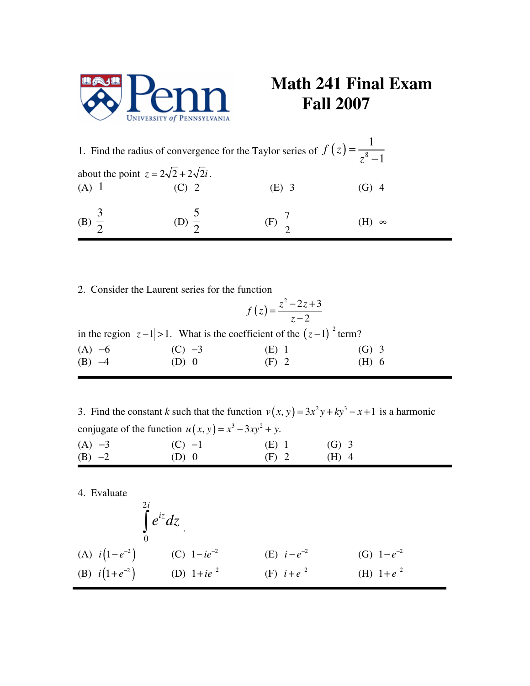

## **Math 241 Final Exam Fall 2007**

|                                                | 1. Find the radius of convergence for the Taylor series of $f(z) = \frac{1}{z^8 - 1}$ |           |
|------------------------------------------------|---------------------------------------------------------------------------------------|-----------|
| about the point $z = 2\sqrt{2} + 2\sqrt{2}i$ . |                                                                                       |           |
| $(A)$ 1                                        | (E) 3                                                                                 | $(f_1)$ 4 |
| (B) $\frac{3}{2}$                              | $(F) \frac{1}{2}$                                                                     | $\infty$  |

2. Consider the Laurent series for the function

|          | $f(z) = \frac{z^2 - 2z + 3}{z - 2}$                                           |         |         |
|----------|-------------------------------------------------------------------------------|---------|---------|
|          | in the region $ z-1  > 1$ . What is the coefficient of the $(z-1)^{-2}$ term? |         |         |
| $(A) -6$ | $(C) -3$                                                                      | $(E)$ 1 | $(G)$ 3 |
| $(B) -4$ | $(D)$ 0                                                                       | $(F)$ 2 | (H) 6   |

3. Find the constant *k* such that the function  $v(x, y) = 3x^2y + ky^3 - x + 1$  is a harmonic conjugate of the function  $u(x, y) = x^3 - 3xy^2 + y$ . (A)  $-3$  (C)  $-1$  (E) 1 (G) 3

(B) −2 (D) 0 (F) 2 (H) 4

4. Evaluate

$$
\int_{0}^{2i} e^{iz} dz
$$
\n(A)  $i(1-e^{-2})$ \n(B)  $i(1+e^{-2})$ \n(C)  $1-ie^{-2}$ \n(E)  $i-e^{-2}$ \n(E)  $i-e^{-2}$ \n(E)  $i+e^{-2}$ \n(E)  $i+e^{-2}$ \n(E)  $i+e^{-2}$ \n(E)  $i+e^{-2}$ \n(E)  $i+e^{-2}$ \n(E)  $i+e^{-2}$ \n(E)  $i+e^{-2}$ \n(E)  $i+e^{-2}$ \n(E)  $i+e^{-2}$ \n(E)  $i+e^{-2}$ \n(E)  $i+e^{-2}$ \n(E)  $i+e^{-2}$ \n(E)  $i+e^{-2}$ \n(E)  $i+e^{-2}$ \n(E)  $i+e^{-2}$ \n(E)  $i+e^{-2}$ \n(E)  $i+e^{-2}$ \n(E)  $i+e^{-2}$ \n(E)  $i+e^{-2}$ \n(E)  $i+e^{-2}$ \n(E)  $i+e^{-2}$ \n(E)  $i+e^{-2}$ \n(E)  $i+e^{-2}$ \n(E)  $i+e^{-2}$ \n(E)  $i+e^{-2}$ \n(E)  $i+e^{-2}$ \n(E)  $i+e^{-2}$ \n(E)  $i+e^{-2}$ \n(E)  $i+e^{-2}$ \n(E)  $i+e^{-2}$ \n(E)  $i+e^{-2}$ \n(E)  $i+e^{-2}$ \n(E)  $i+e^{-2}$ \n(E)  $i+e^{-2}$ \n(E)  $i+e^{-2}$ \n(E)  $i+e^{-2}$ \n(E)  $i+e^{-2}$ \n(E)  $i+e^{-2}$ \n(E)  $i+e^{-2}$ \n(E)  $i+e^{-2}$ \n(E)  $i+e^{-2}$ \n(E)  $i+e^{-2}$ \n(E)  $i+e^{-2}$ \n(E)  $i+e^{-2}$ \n(E)  $i+e^{-2}$ \n(E)  $i+e^{-2}$ \n(E)  $i+e^{-2}$ \n(E)  $i+e^{-2}$ \n(E)  $i+e^{-2}$ \n(E)  $i+e^{-2}$ \n(E)  $i+e^{-2}$ \n(E)  $i+e^{-2}$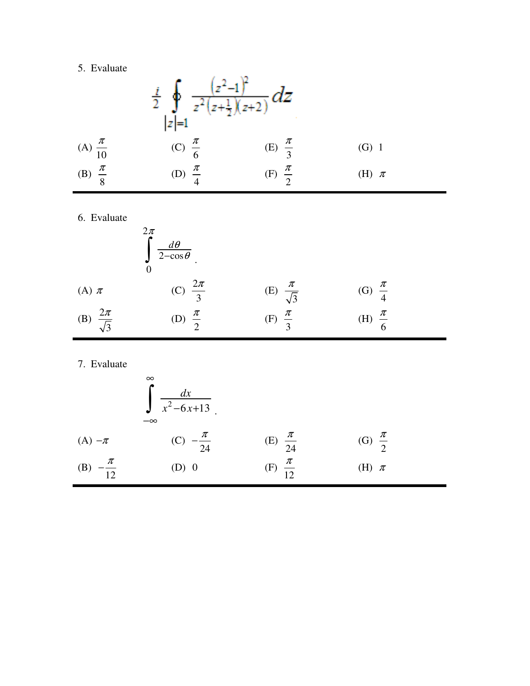## 5. Evaluate

|                      |                     | $rac{i}{2}$ $\int_{ z =1} \frac{(z^2-1)^2}{z^2(z+\frac{1}{2})(z+2)} dz$ |           |  |
|----------------------|---------------------|-------------------------------------------------------------------------|-----------|--|
| (A) $\frac{\pi}{10}$ | (C) $\frac{\pi}{6}$ | (E) $\frac{\pi}{3}$                                                     | $(G)$ 1   |  |
| (B) $\frac{\pi}{8}$  | (D) $\frac{\pi}{4}$ | (F) $\frac{\pi}{2}$                                                     | (H) $\pi$ |  |

6. Evaluate

|                             | $\frac{2\pi}{6}$<br>$\frac{d\theta}{2-\cos\theta}$ |                            |                     |  |
|-----------------------------|----------------------------------------------------|----------------------------|---------------------|--|
| (A) $\pi$                   | (C) $\frac{2\pi}{3}$                               | (E) $\frac{\pi}{\sqrt{3}}$ | (G) $\frac{\pi}{4}$ |  |
| (B) $\frac{2\pi}{\sqrt{3}}$ | (D) $\frac{\pi}{2}$                                | $\frac{\pi}{3}$<br>(F)     | (H) $\frac{\pi}{6}$ |  |

7. Evaluate

|                          | $\infty$<br>$\frac{dx}{x^2-6x+13}$<br>$-\infty$ |                      |                     |  |
|--------------------------|-------------------------------------------------|----------------------|---------------------|--|
| $(A) - \pi$              | (C) $-\frac{\pi}{24}$                           | (E) $\frac{\pi}{24}$ | (G) $\frac{\pi}{2}$ |  |
| $-\frac{\pi}{12}$<br>(B) | $(D)$ 0                                         | (F) $\frac{\pi}{12}$ | (H) $\pi$           |  |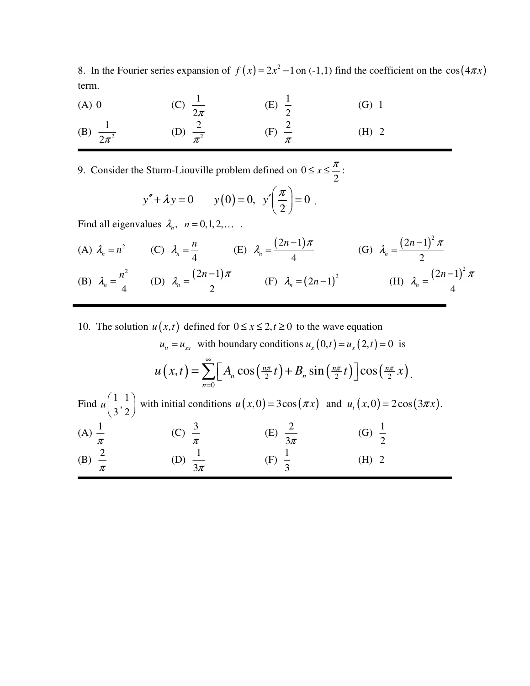8. In the Fourier series expansion of  $f(x) = 2x^2 - 1$  on (-1,1) find the coefficient on the cos  $(4\pi x)$ term.

| $(A)$ 0                | (C) $\frac{1}{2\pi}$  | (E) $\frac{1}{2}$       | $(G)$ 1 |
|------------------------|-----------------------|-------------------------|---------|
| (B) $\frac{1}{2\pi^2}$ | (D) $\frac{2}{\pi^2}$ | $(F)$ $\stackrel{2}{-}$ | $(H)$ 2 |

9. Consider the Sturm-Liouville problem defined on 0 2  $\leq x \leq \frac{\pi}{2}$ :

$$
y'' + \lambda y = 0
$$
  $y(0) = 0, y'\left(\frac{\pi}{2}\right) = 0$ .

Find all eigenvalues  $\lambda_n$ ,  $n = 0,1,2,...$ 

(A) 
$$
\lambda_n = n^2
$$
 (C)  $\lambda_n = \frac{n}{4}$  (E)  $\lambda_n = \frac{(2n-1)\pi}{4}$  (G)  $\lambda_n = \frac{(2n-1)^2 \pi}{2}$   
\n(B)  $\lambda_n = \frac{n^2}{4}$  (D)  $\lambda_n = \frac{(2n-1)\pi}{2}$  (F)  $\lambda_n = (2n-1)^2$  (H)  $\lambda_n = \frac{(2n-1)^2 \pi}{4}$ 

10. The solution  $u(x,t)$  defined for  $0 \le x \le 2, t \ge 0$  to the wave equation

$$
u_{tt} = u_{xx} \text{ with boundary conditions } u_x(0,t) = u_x(2,t) = 0 \text{ is}
$$
\n
$$
u(x,t) = \sum_{n=0}^{\infty} \left[ A_n \cos\left(\frac{n\pi}{2}t\right) + B_n \sin\left(\frac{n\pi}{2}t\right) \right] \cos\left(\frac{n\pi}{2}x\right).
$$
\nFind  $u\left(\frac{1}{3},\frac{1}{2}\right)$  with initial conditions  $u(x,0) = 3\cos(\pi x)$  and  $u_t(x,0) = 2\cos(3\pi x)$ .\n(A)  $\frac{1}{\pi}$  \t(C)  $\frac{3}{\pi}$  \t(E)  $\frac{2}{3\pi}$  \t(G)  $\frac{1}{2}$ \t(B)  $\frac{2}{\pi}$  \t(D)  $\frac{1}{3\pi}$  \t(F)  $\frac{1}{3}$  \t(H) 2